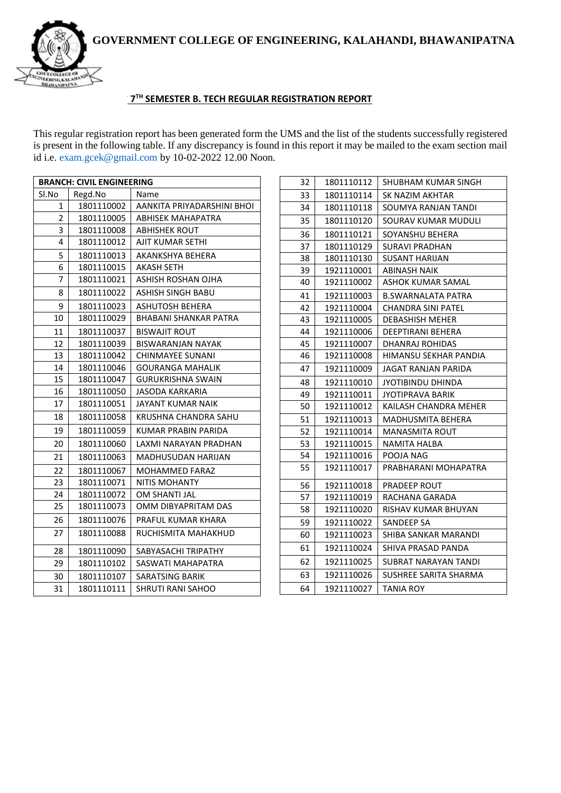**GOVERNMENT COLLEGE OF ENGINEERING, KALAHANDI, BHAWANIPATNA**



## **NO THE SEMESTER B. TECH REGULAR REGISTRATION REPORT**

This regular registration report has been generated form the UMS and the list of the students successfully registered is present in the following table. If any discrepancy is found in this report it may be mailed to the exam section mail id i.e. exam.gcek@gmail.com by 10-02-2022 12.00 Noon.

| <b>BRANCH: CIVIL ENGINEERING</b> |            |                            |  |  |
|----------------------------------|------------|----------------------------|--|--|
| Sl.No                            | Regd.No    | Name                       |  |  |
| 1                                | 1801110002 | AANKITA PRIYADARSHINI BHOI |  |  |
| 2                                | 1801110005 | ABHISEK MAHAPATRA          |  |  |
| 3                                | 1801110008 | <b>ABHISHEK ROUT</b>       |  |  |
| 4                                | 1801110012 | AJIT KUMAR SETHI           |  |  |
| 5                                | 1801110013 | AKANKSHYA BEHERA           |  |  |
| 6                                | 1801110015 | AKASH SETH                 |  |  |
| 7                                | 1801110021 | ASHISH ROSHAN OJHA         |  |  |
| 8                                | 1801110022 | ASHISH SINGH BABU          |  |  |
| 9                                | 1801110023 | ASHUTOSH BEHERA            |  |  |
| 10                               | 1801110029 | BHABANI SHANKAR PATRA      |  |  |
| 11                               | 1801110037 | <b>BISWAJIT ROUT</b>       |  |  |
| 12                               | 1801110039 | BISWARANJAN NAYAK          |  |  |
| 13                               | 1801110042 | CHINMAYEE SUNANI           |  |  |
| 14                               | 1801110046 | GOURANGA MAHALIK           |  |  |
| 15                               | 1801110047 | <b>GURUKRISHNA SWAIN</b>   |  |  |
| 16                               | 1801110050 | JASODA KARKARIA            |  |  |
| 17                               | 1801110051 | <b>JAYANT KUMAR NAIK</b>   |  |  |
| 18                               | 1801110058 | KRUSHNA CHANDRA SAHU       |  |  |
| 19                               | 1801110059 | KUMAR PRABIN PARIDA        |  |  |
| 20                               | 1801110060 | LAXMI NARAYAN PRADHAN      |  |  |
| 21                               | 1801110063 | <b>MADHUSUDAN HARIJAN</b>  |  |  |
| 22                               | 1801110067 | <b>MOHAMMED FARAZ</b>      |  |  |
| 23                               | 1801110071 | <b>NITIS MOHANTY</b>       |  |  |
| 24                               | 1801110072 | OM SHANTI JAL              |  |  |
| 25                               | 1801110073 | OMM DIBYAPRITAM DAS        |  |  |
| 26                               | 1801110076 | PRAFUL KUMAR KHARA         |  |  |
| 27                               | 1801110088 | RUCHISMITA MAHAKHUD        |  |  |
| 28                               | 1801110090 | SABYASACHI TRIPATHY        |  |  |
| 29                               | 1801110102 | SASWATI MAHAPATRA          |  |  |
| 30                               | 1801110107 | SARATSING BARIK            |  |  |
| 31                               | 1801110111 | <b>SHRUTI RANI SAHOO</b>   |  |  |

| 32 | 1801110112 | <b>SHUBHAM KUMAR SINGH</b> |  |  |
|----|------------|----------------------------|--|--|
| 33 | 1801110114 | SK NAZIM AKHTAR            |  |  |
| 34 | 1801110118 | SOUMYA RANJAN TANDI        |  |  |
| 35 | 1801110120 | SOURAV KUMAR MUDULI        |  |  |
| 36 | 1801110121 | SOYANSHU BEHERA            |  |  |
| 37 | 1801110129 | <b>SURAVI PRADHAN</b>      |  |  |
| 38 | 1801110130 | SUSANT HARIJAN             |  |  |
| 39 | 1921110001 | <b>ABINASH NAIK</b>        |  |  |
| 40 | 1921110002 | ASHOK KUMAR SAMAL          |  |  |
| 41 | 1921110003 | <b>B.SWARNALATA PATRA</b>  |  |  |
| 42 | 1921110004 | <b>CHANDRA SINI PATEL</b>  |  |  |
| 43 | 1921110005 | <b>DEBASHISH MEHER</b>     |  |  |
| 44 | 1921110006 | DEEPTIRANI BEHERA          |  |  |
| 45 | 1921110007 | DHANRAJ ROHIDAS            |  |  |
| 46 | 1921110008 | HIMANSU SEKHAR PANDIA      |  |  |
| 47 | 1921110009 | JAGAT RANJAN PARIDA        |  |  |
| 48 | 1921110010 | JYOTIBINDU DHINDA          |  |  |
| 49 | 1921110011 | <b>JYOTIPRAVA BARIK</b>    |  |  |
| 50 | 1921110012 | KAILASH CHANDRA MEHER      |  |  |
| 51 | 1921110013 | <b>MADHUSMITA BEHERA</b>   |  |  |
| 52 | 1921110014 | MANASMITA ROUT             |  |  |
| 53 | 1921110015 | NAMITA HALBA               |  |  |
| 54 | 1921110016 | POOJA NAG                  |  |  |
| 55 | 1921110017 | PRABHARANI MOHAPATRA       |  |  |
| 56 | 1921110018 | <b>PRADEEP ROUT</b>        |  |  |
| 57 | 1921110019 | RACHANA GARADA             |  |  |
| 58 | 1921110020 | RISHAV KUMAR BHUYAN        |  |  |
| 59 | 1921110022 | SANDEEP SA                 |  |  |
| 60 | 1921110023 | SHIBA SANKAR MARANDI       |  |  |
| 61 | 1921110024 | SHIVA PRASAD PANDA         |  |  |
| 62 | 1921110025 | SUBRAT NARAYAN TANDI       |  |  |
| 63 | 1921110026 | SUSHREE SARITA SHARMA      |  |  |
| 64 | 1921110027 | TANIA ROY                  |  |  |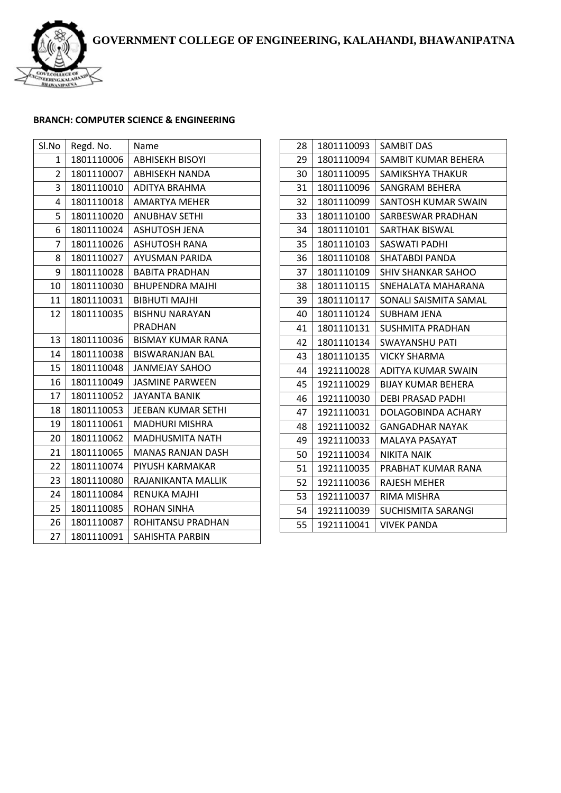

## **BRANCH: COMPUTER SCIENCE & ENGINEERING**

| Sl.No          | Regd. No.  | Name                     |  |  |
|----------------|------------|--------------------------|--|--|
| 1              | 1801110006 | <b>ABHISEKH BISOYI</b>   |  |  |
| $\overline{2}$ | 1801110007 | ABHISEKH NANDA           |  |  |
| 3              | 1801110010 | ADITYA BRAHMA            |  |  |
| 4              | 1801110018 | <b>AMARTYA MEHER</b>     |  |  |
| 5              | 1801110020 | <b>ANUBHAV SETHI</b>     |  |  |
| 6              | 1801110024 | <b>ASHUTOSH JENA</b>     |  |  |
| 7              | 1801110026 | ASHUTOSH RANA            |  |  |
| 8              | 1801110027 | AYUSMAN PARIDA           |  |  |
| 9              | 1801110028 | <b>BABITA PRADHAN</b>    |  |  |
| 10             | 1801110030 | <b>BHUPENDRA MAJHI</b>   |  |  |
| 11             | 1801110031 | <b>BIBHUTI MAJHI</b>     |  |  |
| 12             | 1801110035 | <b>BISHNU NARAYAN</b>    |  |  |
|                |            | PRADHAN                  |  |  |
| 13             | 1801110036 | <b>BISMAY KUMAR RANA</b> |  |  |
| 14             | 1801110038 | <b>BISWARANJAN BAL</b>   |  |  |
| 15             | 1801110048 | JANMEJAY SAHOO           |  |  |
| 16             | 1801110049 | <b>JASMINE PARWEEN</b>   |  |  |
| 17             | 1801110052 | <b>JAYANTA BANIK</b>     |  |  |
| 18             | 1801110053 | JEEBAN KUMAR SETHI       |  |  |
| 19             | 1801110061 | <b>MADHURI MISHRA</b>    |  |  |
| 20             | 1801110062 | <b>MADHUSMITA NATH</b>   |  |  |
| 21             | 1801110065 | <b>MANAS RANJAN DASH</b> |  |  |
| 22             | 1801110074 | PIYUSH KARMAKAR          |  |  |
| 23             | 1801110080 | RAJANIKANTA MALLIK       |  |  |
| 24             | 1801110084 | RENUKA MAJHI             |  |  |
| 25             | 1801110085 | <b>ROHAN SINHA</b>       |  |  |
| 26             | 1801110087 | ROHITANSU PRADHAN        |  |  |
| 27             | 1801110091 | SAHISHTA PARBIN          |  |  |

| 28 | 1801110093 | <b>SAMBIT DAS</b>         |  |
|----|------------|---------------------------|--|
| 29 | 1801110094 | SAMBIT KUMAR BEHERA       |  |
| 30 | 1801110095 | <b>SAMIKSHYA THAKUR</b>   |  |
| 31 | 1801110096 | SANGRAM BEHERA            |  |
| 32 | 1801110099 | SANTOSH KUMAR SWAIN       |  |
| 33 | 1801110100 | SARBESWAR PRADHAN         |  |
| 34 | 1801110101 | SARTHAK BISWAL            |  |
| 35 | 1801110103 | SASWATI PADHI             |  |
| 36 | 1801110108 | SHATABDI PANDA            |  |
| 37 | 1801110109 | <b>SHIV SHANKAR SAHOO</b> |  |
| 38 | 1801110115 | SNEHALATA MAHARANA        |  |
| 39 | 1801110117 | SONALI SAISMITA SAMAL     |  |
| 40 | 1801110124 | <b>SUBHAM JENA</b>        |  |
| 41 | 1801110131 | SUSHMITA PRADHAN          |  |
| 42 | 1801110134 | SWAYANSHU PATI            |  |
| 43 | 1801110135 | <b>VICKY SHARMA</b>       |  |
| 44 | 1921110028 | ADITYA KUMAR SWAIN        |  |
| 45 | 1921110029 | <b>BIJAY KUMAR BEHERA</b> |  |
| 46 | 1921110030 | <b>DEBI PRASAD PADHI</b>  |  |
| 47 | 1921110031 | DOLAGOBINDA ACHARY        |  |
| 48 | 1921110032 | GANGADHAR NAYAK           |  |
| 49 | 1921110033 | MALAYA PASAYAT            |  |
| 50 | 1921110034 | NIKITA NAIK               |  |
| 51 | 1921110035 | PRABHAT KUMAR RANA        |  |
| 52 | 1921110036 | <b>RAJESH MEHER</b>       |  |
| 53 | 1921110037 | RIMA MISHRA               |  |
| 54 | 1921110039 | SUCHISMITA SARANGI        |  |
| 55 | 1921110041 | VIVEK PANDA               |  |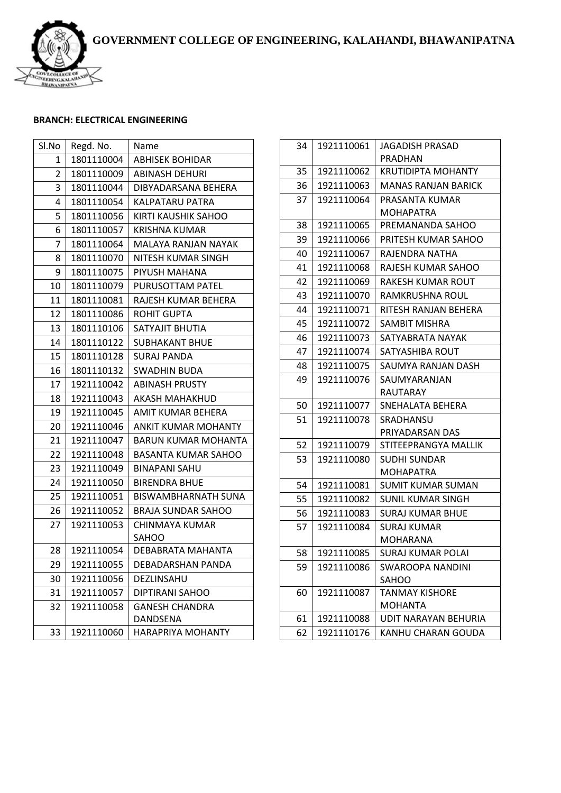**GOVERNMENT COLLEGE OF ENGINEERING, KALAHANDI, BHAWANIPATNA**



## **BRANCH: ELECTRICAL ENGINEERING**

| Sl.No | Regd. No.  | Name                       |  |  |
|-------|------------|----------------------------|--|--|
| 1     | 1801110004 | <b>ABHISEK BOHIDAR</b>     |  |  |
| 2     | 1801110009 | ABINASH DEHURI             |  |  |
| 3     | 1801110044 | DIBYADARSANA BEHERA        |  |  |
| 4     | 1801110054 | KALPATARU PATRA            |  |  |
| 5     | 1801110056 | KIRTI KAUSHIK SAHOO        |  |  |
| 6     | 1801110057 | <b>KRISHNA KUMAR</b>       |  |  |
| 7     | 1801110064 | MALAYA RANJAN NAYAK        |  |  |
| 8     | 1801110070 | NITESH KUMAR SINGH         |  |  |
| 9     | 1801110075 | PIYUSH MAHANA              |  |  |
| 10    | 1801110079 | PURUSOTTAM PATEL           |  |  |
| 11    | 1801110081 | RAJESH KUMAR BEHERA        |  |  |
| 12    | 1801110086 | <b>ROHIT GUPTA</b>         |  |  |
| 13    | 1801110106 | SATYAJIT BHUTIA            |  |  |
| 14    | 1801110122 | SUBHAKANT BHUE             |  |  |
| 15    | 1801110128 | <b>SURAJ PANDA</b>         |  |  |
| 16    | 1801110132 | <b>SWADHIN BUDA</b>        |  |  |
| 17    | 1921110042 | <b>ABINASH PRUSTY</b>      |  |  |
| 18    | 1921110043 | AKASH MAHAKHUD             |  |  |
| 19    | 1921110045 | AMIT KUMAR BEHERA          |  |  |
| 20    | 1921110046 | <b>ANKIT KUMAR MOHANTY</b> |  |  |
| 21    | 1921110047 | <b>BARUN KUMAR MOHANTA</b> |  |  |
| 22    | 1921110048 | <b>BASANTA KUMAR SAHOO</b> |  |  |
| 23    | 1921110049 | <b>BINAPANI SAHU</b>       |  |  |
| 24    | 1921110050 | <b>BIRENDRA BHUE</b>       |  |  |
| 25    | 1921110051 | <b>BISWAMBHARNATH SUNA</b> |  |  |
| 26    | 1921110052 | <b>BRAJA SUNDAR SAHOO</b>  |  |  |
| 27    | 1921110053 | CHINMAYA KUMAR             |  |  |
|       |            | <b>SAHOO</b>               |  |  |
| 28    | 1921110054 | DEBABRATA MAHANTA          |  |  |
| 29    | 1921110055 | DEBADARSHAN PANDA          |  |  |
| 30    | 1921110056 | DEZLINSAHU                 |  |  |
| 31    | 1921110057 | DIPTIRANI SAHOO            |  |  |
| 32    | 1921110058 | <b>GANESH CHANDRA</b>      |  |  |
|       |            | DANDSENA                   |  |  |
| 33    | 1921110060 | <b>HARAPRIYA MOHANTY</b>   |  |  |

| 34 | 1921110061 | <b>JAGADISH PRASAD</b>           |  |  |
|----|------------|----------------------------------|--|--|
|    |            | PRADHAN                          |  |  |
| 35 | 1921110062 | <b>KRUTIDIPTA MOHANTY</b>        |  |  |
| 36 | 1921110063 | <b>MANAS RANJAN BARICK</b>       |  |  |
| 37 | 1921110064 | PRASANTA KUMAR                   |  |  |
|    |            | MOHAPATRA                        |  |  |
| 38 | 1921110065 | PREMANANDA SAHOO                 |  |  |
| 39 | 1921110066 | PRITESH KUMAR SAHOO              |  |  |
| 40 | 1921110067 | RAJENDRA NATHA                   |  |  |
| 41 | 1921110068 | RAJESH KUMAR SAHOO               |  |  |
| 42 | 1921110069 | RAKESH KUMAR ROUT                |  |  |
| 43 | 1921110070 | RAMKRUSHNA ROUL                  |  |  |
| 44 | 1921110071 | RITESH RANJAN BEHERA             |  |  |
| 45 | 1921110072 | SAMBIT MISHRA                    |  |  |
| 46 | 1921110073 | SATYABRATA NAYAK                 |  |  |
| 47 | 1921110074 | SATYASHIBA ROUT                  |  |  |
| 48 | 1921110075 | SAUMYA RANJAN DASH               |  |  |
| 49 | 1921110076 | SAUMYARANJAN                     |  |  |
|    |            | RAUTARAY                         |  |  |
| 50 | 1921110077 | SNEHALATA BEHERA                 |  |  |
| 51 | 1921110078 | SRADHANSU                        |  |  |
|    |            | PRIYADARSAN DAS                  |  |  |
| 52 | 1921110079 | STITEEPRANGYA MALLIK             |  |  |
| 53 | 1921110080 | <b>SUDHI SUNDAR</b>              |  |  |
|    |            | MOHAPATRA                        |  |  |
| 54 | 1921110081 | <b>SUMIT KUMAR SUMAN</b>         |  |  |
| 55 | 1921110082 | SUNIL KUMAR SINGH                |  |  |
| 56 | 1921110083 | <b>SURAJ KUMAR BHUE</b>          |  |  |
| 57 | 1921110084 | SURAJ KUMAR                      |  |  |
|    |            | MOHARANA                         |  |  |
| 58 | 1921110085 | SURAJ KUMAR POLAI                |  |  |
| 59 | 1921110086 | SWAROOPA NANDINI                 |  |  |
| 60 |            | SAHOO                            |  |  |
|    | 1921110087 | TANMAY KISHORE<br><b>MOHANTA</b> |  |  |
| 61 | 1921110088 | UDIT NARAYAN BEHURIA             |  |  |
| 62 | 1921110176 | KANHU CHARAN GOUDA               |  |  |
|    |            |                                  |  |  |